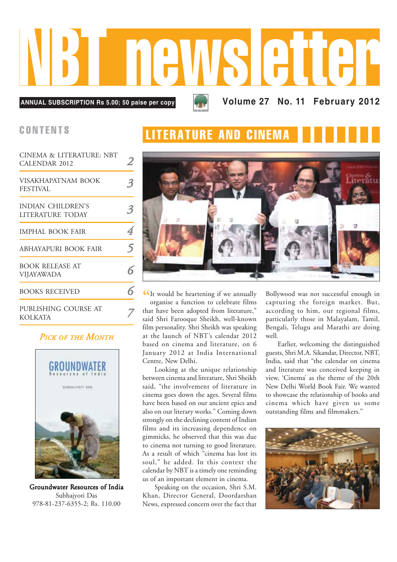

| CINEMA & LITERATURE: NBT<br><b>CALENDAR 2012</b> |   |
|--------------------------------------------------|---|
| VISAKHAPATNAM BOOK<br><b>FESTIVAL</b>            |   |
| <b>INDIAN CHILDREN'S</b><br>LITERATURE TODAY     |   |
| <b>IMPHAL BOOK FAIR</b>                          |   |
| ABHAYAPURI BOOK FAIR                             | 5 |
| <b>BOOK RELEASE AT</b><br><b>VIJAYAWADA</b>      |   |
| <b>BOOKS RECEIVED</b>                            |   |
| PUBLISHING COURSE AT<br><b>KOLKATA</b>           |   |

#### *PICK OF THE MONTH*



Groundwater Resources of India Subhajyoti Das 978-81-237-6355-2; Rs. 110.00

### CONTENTS **LITERATURE AND CINEM**



CIt would be heartening if we annually<br>organise a function to celebrate films organise a function to celebrate films that have been adopted from literature," said Shri Farooque Sheikh, well-known film personality. Shri Sheikh was speaking at the launch of NBT's calendar 2012 based on cinema and literature, on 6 January 2012 at India International Centre, New Delhi.

Looking at the unique relationship between cinema and literature, Shri Sheikh said, "the involvement of literature in cinema goes down the ages. Several films have been based on our ancient epics and also on our literary works." Coming down strongly on the declining content of Indian films and its increasing dependence on gimmicks, he observed that this was due to cinema not turning to good literature. As a result of which "cinema has lost its soul," he added. In this context the calendar by NBT is a timely one reminding us of an important element in cinema.

Speaking on the occasion, Shri S.M. Khan, Director General, Doordarshan News, expressed concern over the fact that

Bollywood was not successful enough in capturing the foreign market. But, according to him, our regional films, particularly those in Malayalam, Tamil, Bengali, Telugu and Marathi are doing well.

Earlier, welcoming the distinguished guests, Shri M.A. Sikandar, Director, NBT, India, said that "the calendar on cinema and literature was conceived keeping in view, 'Cinema' as the theme of the 20th New Delhi World Book Fair. We wanted to showcase the relationship of books and cinema which have given us some outstanding films and filmmakers."

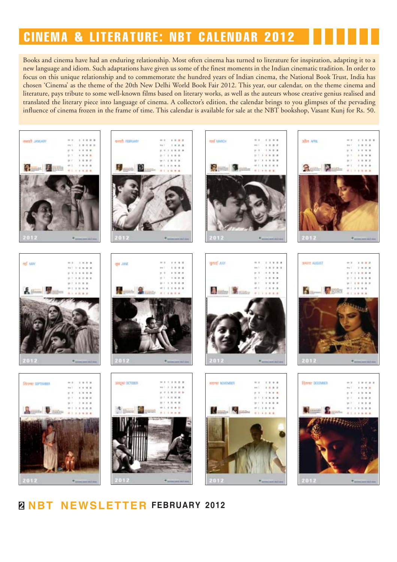### CINEMA & LITERATURE: NBT CALENDAR 2012

Books and cinema have had an enduring relationship. Most often cinema has turned to literature for inspiration, adapting it to a new language and idiom. Such adaptations have given us some of the finest moments in the Indian cinematic tradition. In order to focus on this unique relationship and to commemorate the hundred years of Indian cinema, the National Book Trust, India has chosen 'Cinema' as the theme of the 20th New Delhi World Book Fair 2012. This year, our calendar, on the theme cinema and literature, pays tribute to some well-known films based on literary works, as well as the auteurs whose creative genius realised and translated the literary piece into language of cinema. A collector's edition, the calendar brings to you glimpses of the pervading influence of cinema frozen in the frame of time. This calendar is available for sale at the NBT bookshop, Vasant Kunj for Rs. 50.



#### **2 NBT NEWSLETTER FEBRUARY 2012**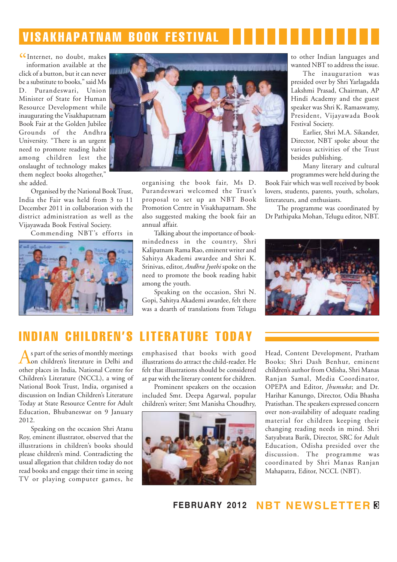## VISAKHAPATNAM BOOK FESTIVAL

CInternet, no doubt, makes<br>information available at the information available at the click of a button, but it can never be a substitute to books," said Ms D. Purandeswari, Union Minister of State for Human Resource Development while inaugurating the Visakhapatnam Book Fair at the Golden Jubilee Grounds of the Andhra University. "There is an urgent need to promote reading habit among children lest the onslaught of technology makes them neglect books altogether," she added.

Organised by the National Book Trust, India the Fair was held from 3 to 11 December 2011 in collaboration with the district administration as well as the Vijayawada Book Festival Society.

Commending NBT's efforts in





organising the book fair, Ms D. Purandeswari welcomed the Trust's proposal to set up an NBT Book Promotion Centre in Visakhapatnam. She also suggested making the book fair an annual affair.

Talking about the importance of bookmindedness in the country, Shri Kalipatnam Rama Rao, eminent writer and Sahitya Akademi awardee and Shri K. Srinivas, editor, *Andhra Jyothi* spoke on the need to promote the book reading habit among the youth.

Speaking on the occasion, Shri N. Gopi, Sahitya Akademi awardee, felt there was a dearth of translations from Telugu to other Indian languages and wanted NBT to address the issue.

The inauguration was presided over by Shri Yarlagadda Lakshmi Prasad, Chairman, AP Hindi Academy and the guest speaker was Shri K. Ramaswamy, President, Vijayawada Book Festival Society.

Earlier, Shri M.A. Sikander, Director, NBT spoke about the various activities of the Trust besides publishing.

Many literary and cultural programmes were held during the

Book Fair which was well received by book lovers, students, parents, youth, scholars, litterateurs, and enthusiasts.

The programme was coordinated by Dr Pathipaka Mohan, Telugu editor, NBT.



### INDIAN CHILDREN'S LITERATURE

As part of the series of monthly meetings on children's literature in Delhi and other places in India, National Centre for Children's Literature (NCCL), a wing of National Book Trust, India, organised a discussion on Indian Children's Literature Today at State Resource Centre for Adult Education, Bhubaneswar on 9 January 2012.

Speaking on the occasion Shri Atanu Roy, eminent illustrator, observed that the illustrations in children's books should please children's mind. Contradicting the usual allegation that children today do not read books and engage their time in seeing TV or playing computer games, he emphasised that books with good illustrations do attract the child-reader. He felt that illustrations should be considered at par with the literary content for children.

Prominent speakers on the occasion included Smt. Deepa Agarwal, popular children's writer; Smt Manisha Choudhry,



Head, Content Development, Pratham Books; Shri Dash Benhur, eminent children's author from Odisha, Shri Manas Ranjan Samal, Media Coordinator, OPEPA and Editor, *Jhumuka*; and Dr. Harihar Kanungo, Director, Odia Bhasha Pratisthan. The speakers expressed concern over non-availability of adequate reading material for children keeping their changing reading needs in mind. Shri Satyabrata Barik, Director, SRC for Adult Education, Odisha presided over the discussion. The programme was coordinated by Shri Manas Ranjan Mahapatra, Editor, NCCL (NBT).

**FEBRUARY 2012 NBT NEWSLETTER 3**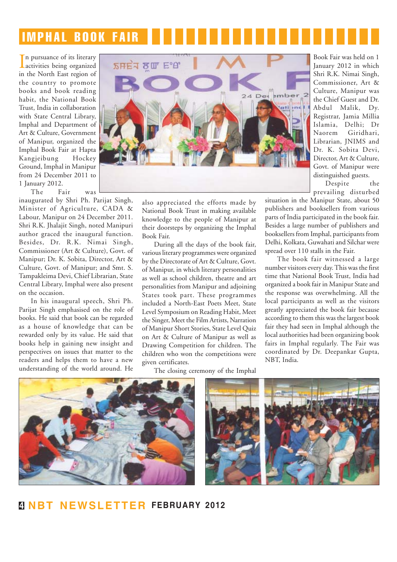# IMPHAL BOOK FAIR

In pursuance of its literary<br>activities being organized n pursuance of its literary in the North East region of the country to promote books and book reading habit, the National Book Trust, India in collaboration with State Central Library, Imphal and Department of Art & Culture, Government of Manipur, organized the Imphal Book Fair at Hapta Kangjeibung Hockey Ground, Imphal in Manipur from 24 December 2011 to 1 January 2012.

The Fair was

inaugurated by Shri Ph. Parijat Singh, Minister of Agriculture, CADA & Labour, Manipur on 24 December 2011. Shri R.K. Jhalajit Singh, noted Manipuri author graced the inaugural function. Besides, Dr. R.K. Nimai Singh, Commissioner (Art & Culture), Govt. of Manipur; Dr. K. Sobita, Director, Art & Culture, Govt. of Manipur; and Smt. S. Tampakleima Devi, Chief Librarian, State Central Library, Imphal were also present on the occasion.

In his inaugural speech, Shri Ph. Parijat Singh emphasised on the role of books. He said that book can be regarded as a house of knowledge that can be rewarded only by its value. He said that books help in gaining new insight and perspectives on issues that matter to the readers and helps them to have a new understanding of the world around. He



also appreciated the efforts made by National Book Trust in making available knowledge to the people of Manipur at their doorsteps by organizing the Imphal Book Fair.

During all the days of the book fair, various literary programmes were organized by the Directorate of Art & Culture, Govt. of Manipur, in which literary personalities as well as school children, theatre and art personalities from Manipur and adjoining States took part. These programmes included a North-East Poets Meet, State Level Symposium on Reading Habit, Meet the Singer, Meet the Film Artists, Narration of Manipur Short Stories, State Level Quiz on Art & Culture of Manipur as well as Drawing Competition for children. The children who won the competitions were given certificates.

Book Fair was held on 1 January 2012 in which Shri R.K. Nimai Singh, Commissioner, Art & Culture, Manipur was the Chief Guest and Dr. Abdul Malik, Dy. Registrar, Jamia Millia Islamia, Delhi; Dr Naorem Giridhari, Librarian, JNIMS and Dr. K. Sobita Devi, Director, Art & Culture, Govt. of Manipur were distinguished guests.

Despite the prevailing disturbed

situation in the Manipur State, about 50 publishers and booksellers from various parts of India participated in the book fair. Besides a large number of publishers and booksellers from Imphal, participants from Delhi, Kolkata, Guwahati and Silchar were spread over 110 stalls in the Fair.

The book fair witnessed a large number visitors every day. This was the first time that National Book Trust, India had organized a book fair in Manipur State and the response was overwhelming. All the local participants as well as the visitors greatly appreciated the book fair because according to them this was the largest book fair they had seen in Imphal although the local authorities had been organizing book fairs in Imphal regularly. The Fair was coordinated by Dr. Deepankar Gupta, NBT, India.



The closing ceremony of the Imphal

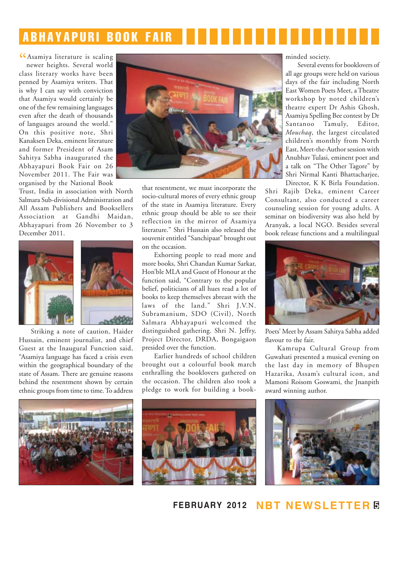# ABHAYAPURI BOOK FAIR

CAsamiya literature is scaling<br>newer heights. Several world newer heights. Several world class literary works have been penned by Asamiya writers. That is why I can say with conviction that Asamiya would certainly be one of the few remaining languages even after the death of thousands of languages around the world." On this positive note, Shri Kanaksen Deka, eminent literature and former President of Asam Sahitya Sabha inaugurated the Abhayapuri Book Fair on 26 November 2011. The Fair was organised by the National Book

Trust, India in association with North Salmara Sub-divisional Administration and All Assam Publishers and Booksellers Association at Gandhi Maidan, Abhayapuri from 26 November to 3 December 2011.





Striking a note of caution, Haider Hussain, eminent journalist, and chief Guest at the Inaugural Function said, "Asamiya language has faced a crisis even within the geographical boundary of the state of Assam. There are genuine reasons behind the resentment shown by certain ethnic groups from time to time. To address



that resentment, we must incorporate the socio-cultural mores of every ethnic group of the state in Asamiya literature. Every ethnic group should be able to see their reflection in the mirror of Asamiya literature." Shri Hussain also released the souvenir entitled "Sanchipaat" brought out on the occasion.

Exhorting people to read more and more books, Shri Chandan Kumar Sarkar, Hon'ble MLA and Guest of Honour at the function said, "Contrary to the popular belief, politicians of all hues read a lot of books to keep themselves abreast with the laws of the land." Shri J.V.N. Subramanium, SDO (Civil), North Salmara Abhayapuri welcomed the distinguished gathering. Shri N. Jeffry, Project Director, DRDA, Bongaigaon presided over the function.

Earlier hundreds of school children brought out a colourful book march enthralling the booklovers gathered on the occasion. The children also took a pledge to work for building a bookminded society.

Several events for booklovers of all age groups were held on various days of the fair including North East Women Poets Meet, a Theatre workshop by noted children's theatre expert Dr Ashis Ghosh, Asamiya Spelling Bee contest by Dr Santanoo Tamuly, Editor, *Mouchaq*, the largest circulated children's monthly from North East, Meet-the-Author session with Anubhav Tulasi, eminent poet and a talk on "The Other Tagore" by Shri Nirmal Kanti Bhattacharjee, Director, K K Birla Foundation.

Shri Rajib Deka, eminent Career Consultant, also conducted a career counseling session for young adults. A seminar on biodiversity was also held by Aranyak, a local NGO. Besides several book release functions and a multilingual



Poets' Meet by Assam Sahitya Sabha added flavour to the fair.

Kamrupa Cultural Group from Guwahati presented a musical evening on the last day in memory of Bhupen Hazarika, Assam's cultural icon, and Mamoni Roisom Goswami, the Jnanpith award winning author.







**FEBRUARY 2012 NBT NEWSLETTER 5**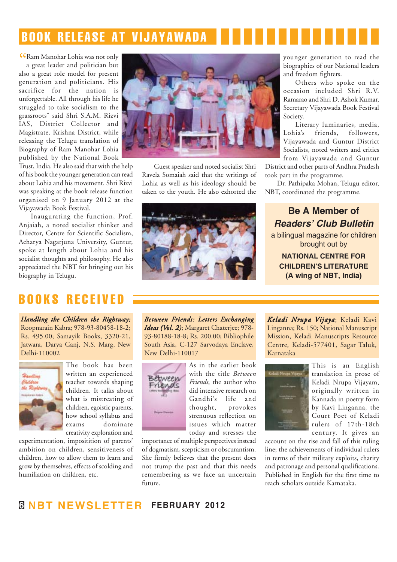### BOOK RELEASE AT VIJAYAWADA

" Ram Manohar Lohia was not only a great leader and politician but also a great role model for present generation and politicians. His sacrifice for the nation is unforgettable. All through his life he struggled to take socialism to the grassroots" said Shri S.A.M. Rizvi IAS, District Collector and Magistrate, Krishna District, while releasing the Telugu translation of Biography of Ram Manohar Lohia published by the National Book

Trust, India. He also said that with the help of his book the younger generation can read about Lohia and his movement. Shri Rizvi was speaking at the book release function organised on 9 January 2012 at the Vijayawada Book Festival.

Inaugurating the function, Prof. Anjaiah, a noted socialist thinker and Director, Centre for Scientific Socialism, Acharya Nagarjuna University, Guntur, spoke at length about Lohia and his socialist thoughts and philosophy. He also appreciated the NBT for bringing out his biography in Telugu.



Guest speaker and noted socialist Shri Ravela Somaiah said that the writings of Lohia as well as his ideology should be taken to the youth. He also exhorted the



younger generation to read the biographies of our National leaders and freedom fighters.

Others who spoke on the occasion included Shri R.V. Ramarao and Shri D. Ashok Kumar, Secretary Vijayawada Book Festival Society.

Literary luminaries, media, Lohia's friends, followers, Vijayawada and Guntur District Socialists, noted writers and critics from Vijayawada and Guntur

District and other parts of Andhra Pradesh took part in the programme.

Dr. Pathipaka Mohan, Telugu editor, NBT, coordinated the programme.

#### **Be A Member of** *Readers' Club Bulletin*

a bilingual magazine for children brought out by

**NATIONAL CENTRE FOR CHILDREN'S LITERATURE (A wing of NBT, India)**

#### BOOKS RECEIVED

*Handling the Children the Rightway;* Roopnarain Kabra; 978-93-80458-18-2; Rs. 495.00; Samayik Books, 3320-21, Jatwara, Darya Ganj, N.S. Marg, New Delhi-110002



The book has been written an experienced teacher towards shaping children. It talks about what is mistreating of children, egoistic parents, how school syllabus and exams dominate creativity exploration and

experimentation, impositition of parents' ambition on children, sensitiveness of children, how to allow them to learn and grow by themselves, effects of scolding and humiliation on children, etc.

*Between Friends: Letters Exchanging Ideas (Vol. 2)*; Margaret Chaterjee; 978- 93-80188-18-8; Rs. 200.00; Bibliophile South Asia, C-127 Sarvodaya Enclave, New Delhi-110017



As in the earlier book with the title *Between Friends*, the author who did intensive research on Gandhi's life and<br>thought, provokes thought, strenuous reflection on issues which matter today and stresses the

importance of multiple perspectives instead of dogmatism, scepticism or obscurantism. She firmly believes that the present does not trump the past and that this needs remembering as we face an uncertain future.

*Keladi Nr eladi Nrupa Vijaya*; Keladi Kavi Linganna; Rs. 150; National Manuscript Mission, Keladi Manuscripts Resource Centre, Keladi-577401, Sagar Taluk, Karnataka



This is an English translation in prose of Keladi Nrupa Vijayam, originally written in Kannada in poetry form by Kavi Linganna, the Court Poet of Keladi rulers of 17th-18th century. It gives an

account on the rise and fall of this ruling line; the achievements of individual rulers in terms of their military exploits, charity and patronage and personal qualifications. Published in English for the first time to reach scholars outside Karnataka.

#### **6 NBT NEWSLETTER FEBRUARY 2012**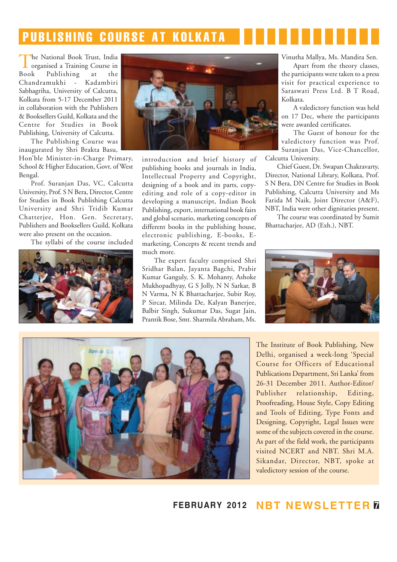# PUBLISHING COURSE AT KOLKATA

The National Book Trust, India<br>organised a Training Course in Book Publishing at the Chandramukhi - Kadambiri Sabhagriha, University of Calcutta, Kolkata from 5-17 December 2011 in collaboration with the Publishers & Booksellers Guild, Kolkata and the Centre for Studies in Book Publishing, University of Calcutta.

The Publishing Course was inaugurated by Shri Brakta Basu, Hon'ble Minister-in-Charge Primary,

School & Higher Education, Govt. of West Bengal.

Prof. Suranjan Das, VC, Calcutta University, Prof. S N Bera, Director, Centre for Studies in Book Publishing Calcutta University and Shri Tridib Kumar Chatterjee, Hon. Gen. Secretary, Publishers and Booksellers Guild, Kolkata were also present on the occasion.

The syllabi of the course included





introduction and brief history of publishing books and journals in India, Intellectual Property and Copyright, designing of a book and its parts, copyediting and role of a copy-editor in developing a manuscript, Indian Book Publishing, export, international book fairs and global scenario, marketing concepts of different books in the publishing house, electronic publishing, E-books, Emarketing, Concepts & recent trends and much more.

The expert faculty comprised Shri Sridhar Balan, Jayanta Bagchi, Prabir Kumar Ganguly, S. K. Mohanty, Ashoke Mukhopadhyay, G S Jolly, N N Sarkar, B N Varma, N K Bhattacharjee, Subir Roy, P Sircar, Milinda De, Kalyan Banerjee, Balbir Singh, Sukumar Das, Sugat Jain, Prantik Bose, Smt. Sharmila Abraham, Ms. Vinutha Mallya, Ms. Mandira Sen.

Apart from the theory classes, the participants were taken to a press visit for practical experience to Saraswati Press Ltd. B T Road, Kolkata.

A valedictory function was held on 17 Dec, where the participants were awarded certificates.

The Guest of honour for the valedictory function was Prof. Suranjan Das, Vice-Chancellor, Calcutta University.

Chief Guest, Dr. Swapan Chakravarty, Director, National Library, Kolkata, Prof. S N Bera, DN Centre for Studies in Book Publishing, Calcutta University and Ms Farida M Naik, Joint Director (A&F), NBT, India were other dignitaries present.

The course was coordinated by Sumit Bhattacharjee, AD (Exh.), NBT.





The Institute of Book Publishing, New Delhi, organised a week-long 'Special Course for Officers of Educational Publications Department, Sri Lanka' from 26-31 December 2011. Author-Editor/ Publisher relationship, Editing, Proofreading, House Style, Copy Editing and Tools of Editing, Type Fonts and Designing, Copyright, Legal Issues were some of the subjects covered in the course. As part of the field work, the participants visited NCERT and NBT. Shri M.A. Sikandar, Director, NBT, spoke at valedictory session of the course.

**FEBRUARY 2012 NBT NEWSLETTER 7**